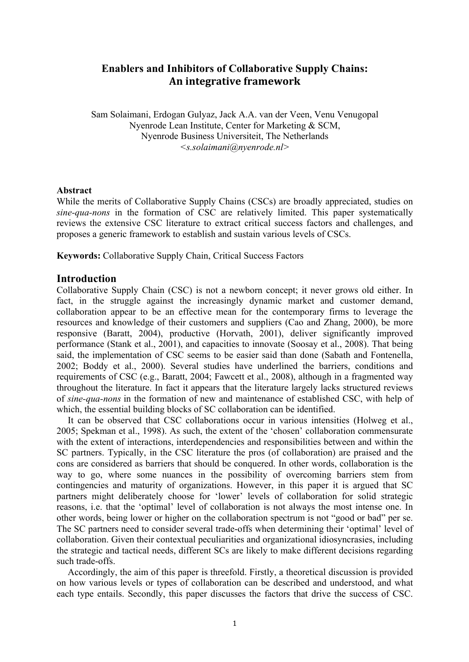# **Enablers and Inhibitors of Collaborative Supply Chains: An#integrative#framework**

Sam Solaimani, Erdogan Gulyaz, Jack A.A. van der Veen, Venu Venugopal Nyenrode Lean Institute, Center for Marketing & SCM, Nyenrode Business Universiteit, The Netherlands *<s.solaimani@nyenrode.nl>*

#### **Abstract**

While the merits of Collaborative Supply Chains (CSCs) are broadly appreciated, studies on *sine-qua-nons* in the formation of CSC are relatively limited. This paper systematically reviews the extensive CSC literature to extract critical success factors and challenges, and proposes a generic framework to establish and sustain various levels of CSCs.

**Keywords:** Collaborative Supply Chain, Critical Success Factors

### **Introduction**

Collaborative Supply Chain (CSC) is not a newborn concept; it never grows old either. In fact, in the struggle against the increasingly dynamic market and customer demand, collaboration appear to be an effective mean for the contemporary firms to leverage the resources and knowledge of their customers and suppliers (Cao and Zhang, 2000), be more responsive (Baratt, 2004), productive (Horvath, 2001), deliver significantly improved performance (Stank et al., 2001), and capacities to innovate (Soosay et al., 2008). That being said, the implementation of CSC seems to be easier said than done (Sabath and Fontenella, 2002; Boddy et al., 2000). Several studies have underlined the barriers, conditions and requirements of CSC (e.g., Baratt, 2004; Fawcett et al., 2008), although in a fragmented way throughout the literature. In fact it appears that the literature largely lacks structured reviews of *sine-qua-nons* in the formation of new and maintenance of established CSC, with help of which, the essential building blocks of SC collaboration can be identified.

It can be observed that CSC collaborations occur in various intensities (Holweg et al., 2005; Spekman et al., 1998). As such, the extent of the 'chosen' collaboration commensurate with the extent of interactions, interdependencies and responsibilities between and within the SC partners. Typically, in the CSC literature the pros (of collaboration) are praised and the cons are considered as barriers that should be conquered. In other words, collaboration is the way to go, where some nuances in the possibility of overcoming barriers stem from contingencies and maturity of organizations. However, in this paper it is argued that SC partners might deliberately choose for 'lower' levels of collaboration for solid strategic reasons, i.e. that the 'optimal' level of collaboration is not always the most intense one. In other words, being lower or higher on the collaboration spectrum is not "good or bad" per se. The SC partners need to consider several trade-offs when determining their 'optimal' level of collaboration. Given their contextual peculiarities and organizational idiosyncrasies, including the strategic and tactical needs, different SCs are likely to make different decisions regarding such trade-offs.

Accordingly, the aim of this paper is threefold. Firstly, a theoretical discussion is provided on how various levels or types of collaboration can be described and understood, and what each type entails. Secondly, this paper discusses the factors that drive the success of CSC.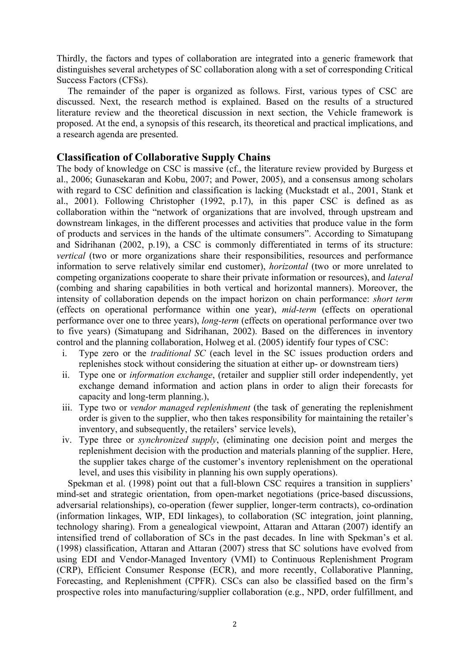Thirdly, the factors and types of collaboration are integrated into a generic framework that distinguishes several archetypes of SC collaboration along with a set of corresponding Critical Success Factors (CFSs).

The remainder of the paper is organized as follows. First, various types of CSC are discussed. Next, the research method is explained. Based on the results of a structured literature review and the theoretical discussion in next section, the Vehicle framework is proposed. At the end, a synopsis of this research, its theoretical and practical implications, and a research agenda are presented.

## **Classification of Collaborative Supply Chains**

The body of knowledge on CSC is massive (cf., the literature review provided by Burgess et al., 2006; Gunasekaran and Kobu, 2007; and Power, 2005), and a consensus among scholars with regard to CSC definition and classification is lacking (Muckstadt et al., 2001, Stank et al., 2001). Following Christopher (1992, p.17), in this paper CSC is defined as as collaboration within the "network of organizations that are involved, through upstream and downstream linkages, in the different processes and activities that produce value in the form of products and services in the hands of the ultimate consumers". According to Simatupang and Sidrihanan (2002, p.19), a CSC is commonly differentiated in terms of its structure: *vertical* (two or more organizations share their responsibilities, resources and performance information to serve relatively similar end customer), *horizontal* (two or more unrelated to competing organizations cooperate to share their private information or resources), and *lateral* (combing and sharing capabilities in both vertical and horizontal manners). Moreover, the intensity of collaboration depends on the impact horizon on chain performance: *short term* (effects on operational performance within one year), *mid-term* (effects on operational performance over one to three years), *long-term* (effects on operational performance over two to five years) (Simatupang and Sidrihanan, 2002). Based on the differences in inventory control and the planning collaboration, Holweg et al. (2005) identify four types of CSC:

- i. Type zero or the *traditional SC* (each level in the SC issues production orders and replenishes stock without considering the situation at either up- or downstream tiers)
- ii. Type one or *information exchange*, (retailer and supplier still order independently, yet exchange demand information and action plans in order to align their forecasts for capacity and long-term planning.),
- iii. Type two or *vendor managed replenishment* (the task of generating the replenishment order is given to the supplier, who then takes responsibility for maintaining the retailer's inventory, and subsequently, the retailers' service levels).
- iv. Type three or *synchronized supply*, (eliminating one decision point and merges the replenishment decision with the production and materials planning of the supplier. Here, the supplier takes charge of the customer's inventory replenishment on the operational level, and uses this visibility in planning his own supply operations).

Spekman et al. (1998) point out that a full-blown CSC requires a transition in suppliers' mind-set and strategic orientation, from open-market negotiations (price-based discussions, adversarial relationships), co-operation (fewer supplier, longer-term contracts), co-ordination (information linkages, WIP, EDI linkages), to collaboration (SC integration, joint planning, technology sharing). From a genealogical viewpoint, Attaran and Attaran (2007) identify an intensified trend of collaboration of SCs in the past decades. In line with Spekman's et al. (1998) classification, Attaran and Attaran (2007) stress that SC solutions have evolved from using EDI and Vendor-Managed Inventory (VMI) to Continuous Replenishment Program (CRP), Efficient Consumer Response (ECR), and more recently, Collaborative Planning, Forecasting, and Replenishment (CPFR). CSCs can also be classified based on the firm's prospective roles into manufacturing/supplier collaboration (e.g., NPD, order fulfillment, and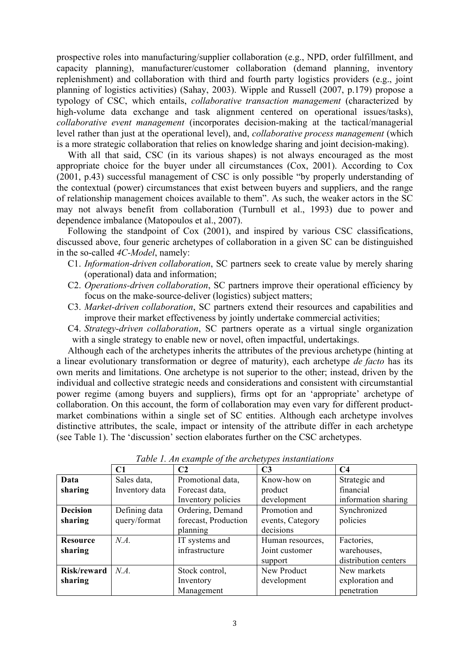prospective roles into manufacturing/supplier collaboration (e.g., NPD, order fulfillment, and capacity planning), manufacturer/customer collaboration (demand planning, inventory replenishment) and collaboration with third and fourth party logistics providers (e.g., joint planning of logistics activities) (Sahay, 2003). Wipple and Russell (2007, p.179) propose a typology of CSC, which entails, *collaborative transaction management* (characterized by high-volume data exchange and task alignment centered on operational issues/tasks). *collaborative event management* (incorporates decision-making at the tactical/managerial level rather than just at the operational level), and, *collaborative process management* (which is a more strategic collaboration that relies on knowledge sharing and joint decision-making).

With all that said, CSC (in its various shapes) is not always encouraged as the most appropriate choice for the buyer under all circumstances (Cox, 2001). According to Cox (2001, p.43) successful management of CSC is only possible "by properly understanding of the contextual (power) circumstances that exist between buyers and suppliers, and the range of relationship management choices available to them". As such, the weaker actors in the SC may not always benefit from collaboration (Turnbull et al., 1993) due to power and dependence imbalance (Matopoulos et al., 2007).

Following the standpoint of Cox (2001), and inspired by various CSC classifications, discussed above, four generic archetypes of collaboration in a given SC can be distinguished in the so-called *4C-Model*, namely:

- C1. *Information-driven collaboration*, SC partners seek to create value by merely sharing (operational) data and information;
- C2. *Operations-driven collaboration*, SC partners improve their operational efficiency by focus on the make-source-deliver (logistics) subject matters;
- C3. *Market-driven collaboration*, SC partners extend their resources and capabilities and improve their market effectiveness by jointly undertake commercial activities;
- C4. *Strategy-driven collaboration*, SC partners operate as a virtual single organization with a single strategy to enable new or novel, often impactful, undertakings.

Although each of the archetypes inherits the attributes of the previous archetype (hinting at a linear evolutionary transformation or degree of maturity), each archetype *de facto* has its own merits and limitations. One archetype is not superior to the other; instead, driven by the individual and collective strategic needs and considerations and consistent with circumstantial power regime (among buyers and suppliers), firms opt for an 'appropriate' archetype of collaboration. On this account, the form of collaboration may even vary for different productmarket combinations within a single set of SC entities. Although each archetype involves distinctive attributes, the scale, impact or intensity of the attribute differ in each archetype (see Table 1). The 'discussion' section elaborates further on the CSC archetypes.

|                 | C1             | C2                   | C <sub>3</sub>   | C <sub>4</sub>       |
|-----------------|----------------|----------------------|------------------|----------------------|
| Data            | Sales data,    | Promotional data,    | Know-how on      | Strategic and        |
| sharing         | Inventory data | Forecast data.       | product          | financial            |
|                 |                | Inventory policies   | development      | information sharing  |
| <b>Decision</b> | Defining data  | Ordering, Demand     | Promotion and    | Synchronized         |
| sharing         | query/format   | forecast, Production | events, Category | policies             |
|                 |                | planning             | decisions        |                      |
| Resource        | N.A.           | IT systems and       | Human resources. | Factories.           |
| sharing         |                | infrastructure       | Joint customer   | warehouses.          |
|                 |                |                      | support          | distribution centers |
| Risk/reward     | N.A.           | Stock control.       | New Product      | New markets          |
| sharing         |                | Inventory            | development      | exploration and      |
|                 |                | Management           |                  | penetration          |

*Table 1. An example of the archetypes instantiations*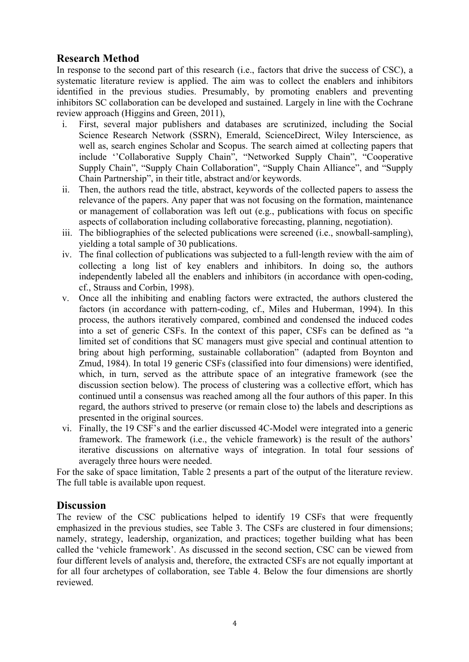# **Research Method**

In response to the second part of this research (i.e., factors that drive the success of CSC), a systematic literature review is applied. The aim was to collect the enablers and inhibitors identified in the previous studies. Presumably, by promoting enablers and preventing inhibitors SC collaboration can be developed and sustained. Largely in line with the Cochrane review approach (Higgins and Green, 2011),

- i. First, several major publishers and databases are scrutinized, including the Social Science Research Network (SSRN), Emerald, ScienceDirect, Wiley Interscience, as well as, search engines Scholar and Scopus. The search aimed at collecting papers that include ''Collaborative Supply Chain", "Networked Supply Chain", "Cooperative Supply Chain", "Supply Chain Collaboration", "Supply Chain Alliance", and "Supply Chain Partnership", in their title, abstract and/or keywords.
- ii. Then, the authors read the title, abstract, keywords of the collected papers to assess the relevance of the papers. Any paper that was not focusing on the formation, maintenance or management of collaboration was left out (e.g., publications with focus on specific aspects of collaboration including collaborative forecasting, planning, negotiation).
- iii. The bibliographies of the selected publications were screened (i.e., snowball-sampling), yielding a total sample of 30 publications.
- iv. The final collection of publications was subjected to a full-length review with the aim of collecting a long list of key enablers and inhibitors. In doing so, the authors independently labeled all the enablers and inhibitors (in accordance with open-coding, cf., Strauss and Corbin, 1998).
- v. Once all the inhibiting and enabling factors were extracted, the authors clustered the factors (in accordance with pattern-coding, cf., Miles and Huberman, 1994). In this process, the authors iteratively compared, combined and condensed the induced codes into a set of generic CSFs. In the context of this paper, CSFs can be defined as "a limited set of conditions that SC managers must give special and continual attention to bring about high performing, sustainable collaboration" (adapted from Boynton and Zmud, 1984). In total 19 generic CSFs (classified into four dimensions) were identified, which, in turn, served as the attribute space of an integrative framework (see the discussion section below). The process of clustering was a collective effort, which has continued until a consensus was reached among all the four authors of this paper. In this regard, the authors strived to preserve (or remain close to) the labels and descriptions as presented in the original sources.
- vi. Finally, the 19 CSF's and the earlier discussed 4C-Model were integrated into a generic framework. The framework (i.e., the vehicle framework) is the result of the authors' iterative discussions on alternative ways of integration. In total four sessions of averagely three hours were needed.

For the sake of space limitation, Table 2 presents a part of the output of the literature review. The full table is available upon request.

## **Discussion**

The review of the CSC publications helped to identify 19 CSFs that were frequently emphasized in the previous studies, see Table 3. The CSFs are clustered in four dimensions; namely, strategy, leadership, organization, and practices; together building what has been called the 'vehicle framework'. As discussed in the second section, CSC can be viewed from four different levels of analysis and, therefore, the extracted CSFs are not equally important at for all four archetypes of collaboration, see Table 4. Below the four dimensions are shortly reviewed.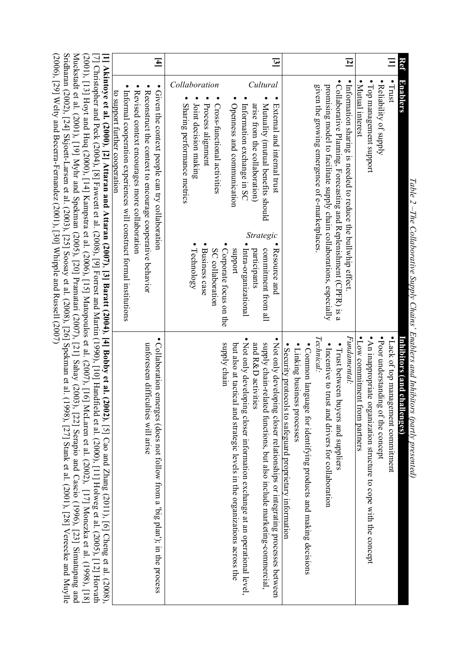|                         | Table 2 –The Collaborative Supply Chains' Enablers and Inhibitors (partly presented)                                                                                                                                                                                                                                                                                                                                                                                                                                                                                                                                                                                                                                                                                                                                                                                              |                                                                                                                                                                                                                                                                                                                                                     |
|-------------------------|-----------------------------------------------------------------------------------------------------------------------------------------------------------------------------------------------------------------------------------------------------------------------------------------------------------------------------------------------------------------------------------------------------------------------------------------------------------------------------------------------------------------------------------------------------------------------------------------------------------------------------------------------------------------------------------------------------------------------------------------------------------------------------------------------------------------------------------------------------------------------------------|-----------------------------------------------------------------------------------------------------------------------------------------------------------------------------------------------------------------------------------------------------------------------------------------------------------------------------------------------------|
| <b>Ref</b><br>$\Box$    | • Trust<br><b>Enablers</b>                                                                                                                                                                                                                                                                                                                                                                                                                                                                                                                                                                                                                                                                                                                                                                                                                                                        | • Lack of top management commitment<br>Inhibitors (and challenges)                                                                                                                                                                                                                                                                                  |
|                         | • Reliability of supply                                                                                                                                                                                                                                                                                                                                                                                                                                                                                                                                                                                                                                                                                                                                                                                                                                                           | • Poor understanding of the concept                                                                                                                                                                                                                                                                                                                 |
|                         | · Top management support                                                                                                                                                                                                                                                                                                                                                                                                                                                                                                                                                                                                                                                                                                                                                                                                                                                          | • An inappropriate organization structure to<br>cope with the concept                                                                                                                                                                                                                                                                               |
|                         | • Mutual interest                                                                                                                                                                                                                                                                                                                                                                                                                                                                                                                                                                                                                                                                                                                                                                                                                                                                 | • Low commitment from partners                                                                                                                                                                                                                                                                                                                      |
| $\overline{z}$          | • Collaborative Planning, Forecasting and Replenishment (CPFR) is a<br>. Information sharing is needed to reduce the bullwhip effect.                                                                                                                                                                                                                                                                                                                                                                                                                                                                                                                                                                                                                                                                                                                                             | Fundamental:<br>Trust between buyers and suppliers                                                                                                                                                                                                                                                                                                  |
|                         | given the growing emergence of e-marketplaces.<br>promising model to facilitate supply chain collaborations, especially                                                                                                                                                                                                                                                                                                                                                                                                                                                                                                                                                                                                                                                                                                                                                           | Technical:<br>• Incentive to trust and drivers for collaboration<br>• Security protocols to safeguard proprietary information<br>• Linking business processes<br>• Common language for identifying products and making decisions                                                                                                                    |
| $\overline{\mathbf{c}}$ | Collaboration<br>Cultural<br>• Cross-functional activities<br>• Openness and communication<br>Information exchange in SC<br>Process alignment<br>External and internal trust<br>Joint decision making<br>Mutuality (mutual benefits should<br>Sharing performance metrics<br>arise trom the collaboration)<br>Strategic<br>• Technology<br>• Business case<br>• Resource and<br>• Corporate focus on the<br>· Intra-organizational<br>uoddns<br>participants<br>commitment from all<br>SC collaboration                                                                                                                                                                                                                                                                                                                                                                           | • Not only developing closer information exchange at an operational level,<br>Not only developing closer relationships or integrating processes between<br>supply chain-related functions, but also include marketing-commercial<br>supply chain<br>and R&D activities<br>but also at tactical and strategic levels in the organizations across the |
| $\mathbf{H}$            | • Informal cooperation experiences will construct formal institutions<br>• Revised context encourages more collaboration<br>Reconstruct the context to encourage cooperative behavior<br>Given the context people can try collaboration<br>to support further cooperation                                                                                                                                                                                                                                                                                                                                                                                                                                                                                                                                                                                                         | Collaboration emerges (does not follow from a 'big plan'); in the process<br>unforeseen difficulties will arise                                                                                                                                                                                                                                     |
|                         | Stridharan (2002), [24] Skjoett-Larsen et al. (2003), [25] Spekman et al. (1998), [26] Spekman et al. (1998), [27] Stank et al. (2001), [27] Stank et al. (2001), [27] Stank et al. (2003), [27] Stank et al. (2001), [27] Sta<br>Muckstadt et al. (2001), [19] Myhr and Spekman (2005), [20] Pramatari (2007), [21] Sahay (2003), [22] Serapio and Cascio (1996), [23] Simatupang and<br>$(2006)$ , [29] Welty and Becerra-Fernandez (2001), [30] Whipple and Russell $(2007)$<br>[1] Akintoye et al. (2000), [2] Attaran and Attaran (2007), [3] Baratt (2004), [4] Bobby et al. (2002), [5] Cao and Zhang (2011), [6] Cheng et al. (2008)<br>[7] Christopher and Peck (2004), [8] Fawcett et al. (2008), [9] Forrest and Martin (1990), [10] Handfield et al. (2000), [11] Holweg et al. (2005), [12] Horvath<br>(2001), [13] Hoyt and Huq (2000), [14] Kampstra et al. (2006) |                                                                                                                                                                                                                                                                                                                                                     |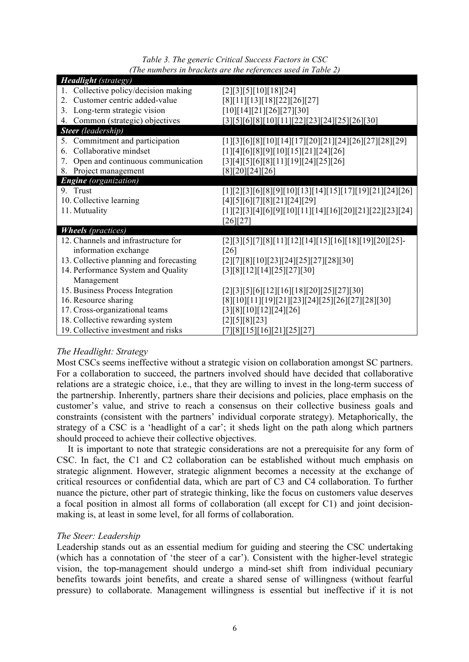*Table 3. The generic Critical Success Factors in CSC (The numbers in brackets are the references used in Table 2)*

| <b>Headlight</b> (strategy)             |                                                          |
|-----------------------------------------|----------------------------------------------------------|
| 1. Collective policy/decision making    | [2][3][5][10][18][24]                                    |
| Customer centric added-value<br>$2_{-}$ | [8][11][13][18][22][26][27]                              |
| Long-term strategic vision<br>3.        | [10][14][21][26][27][30]                                 |
| 4. Common (strategic) objectives        | [3][5][6][8][10][11][22][23][24][25][26][30]             |
| <b>Steer</b> (leadership)               |                                                          |
| 5. Commitment and participation         | $[1][3][6][8][10][14][17][20][21][24][26][27][28][29]$   |
| Collaborative mindset<br>6.             | [1][4][6][8][9][10][15][21][24][26]                      |
| Open and continuous communication<br>7. | [3][4][5][6][8][11][19][24][25][26]                      |
| 8. Project management                   | [8][20][24][26]                                          |
| <b>Engine</b> (organization)            |                                                          |
| 9. Trust                                | $[1][2][3][6][8][9][10][13][14][15][17][19][21][24][26]$ |
| 10. Collective learning                 | [4][5][6][7][8][21][24][29]                              |
| 11. Mutuality                           | $[1][2][3][4][6][9][10][11][14][16][20][21][22][23][24]$ |
|                                         | [26][27]                                                 |
| <b>Wheels</b> (practices)               |                                                          |
| 12. Channels and infrastructure for     | $[2][3][5][7][8][11][12][14][15][16][18][19][20][25]$ -  |
| information exchange                    | [26]                                                     |
| 13. Collective planning and forecasting | [2][7][8][10][23][24][25][27][28][30]                    |
| 14. Performance System and Quality      | [3][8][12][14][25][27][30]                               |
| Management                              |                                                          |
| 15. Business Process Integration        | $[2][3][5][6][12][16][18][20][25][27][30]$               |
| 16. Resource sharing                    | $[8][10][11][19][21][23][24][25][26][27][28][30]$        |
| 17. Cross-organizational teams          | [3][8][10][12][24][26]                                   |
| 18. Collective rewarding system         | [2][5][8][23]                                            |
| 19. Collective investment and risks     | [7][8][15][16][21][25][27]                               |

### *The Headlight: Strategy*

Most CSCs seems ineffective without a strategic vision on collaboration amongst SC partners. For a collaboration to succeed, the partners involved should have decided that collaborative relations are a strategic choice, i.e., that they are willing to invest in the long-term success of the partnership. Inherently, partners share their decisions and policies, place emphasis on the customer's value, and strive to reach a consensus on their collective business goals and constraints (consistent with the partners' individual corporate strategy). Metaphorically, the strategy of a CSC is a 'headlight of a car'; it sheds light on the path along which partners should proceed to achieve their collective objectives.

It is important to note that strategic considerations are not a prerequisite for any form of CSC. In fact, the C1 and C2 collaboration can be established without much emphasis on strategic alignment. However, strategic alignment becomes a necessity at the exchange of critical resources or confidential data, which are part of C3 and C4 collaboration. To further nuance the picture, other part of strategic thinking, like the focus on customers value deserves a focal position in almost all forms of collaboration (all except for C1) and joint decisionmaking is, at least in some level, for all forms of collaboration.

## *The Steer: Leadership*

Leadership stands out as an essential medium for guiding and steering the CSC undertaking (which has a connotation of 'the steer of a car'). Consistent with the higher-level strategic vision, the top-management should undergo a mind-set shift from individual pecuniary benefits towards joint benefits, and create a shared sense of willingness (without fearful pressure) to collaborate. Management willingness is essential but ineffective if it is not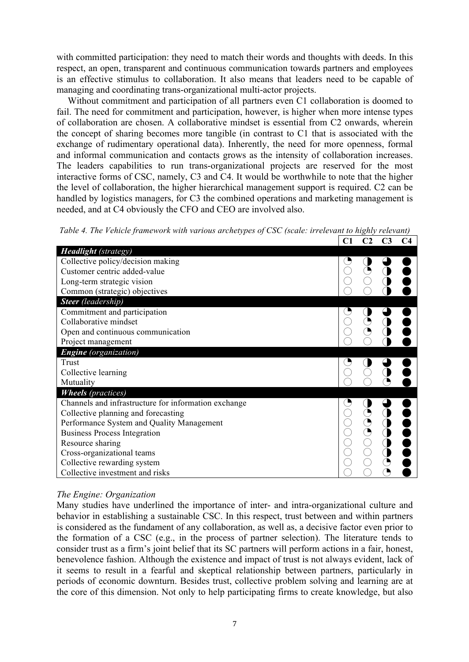with committed participation: they need to match their words and thoughts with deeds. In this respect, an open, transparent and continuous communication towards partners and employees is an effective stimulus to collaboration. It also means that leaders need to be capable of managing and coordinating trans-organizational multi-actor projects.

Without commitment and participation of all partners even C1 collaboration is doomed to fail. The need for commitment and participation, however, is higher when more intense types of collaboration are chosen. A collaborative mindset is essential from C2 onwards, wherein the concept of sharing becomes more tangible (in contrast to C1 that is associated with the exchange of rudimentary operational data). Inherently, the need for more openness, formal and informal communication and contacts grows as the intensity of collaboration increases. The leaders capabilities to run trans-organizational projects are reserved for the most interactive forms of CSC, namely, C3 and C4. It would be worthwhile to note that the higher the level of collaboration, the higher hierarchical management support is required. C2 can be handled by logistics managers, for C3 the combined operations and marketing management is needed, and at C4 obviously the CFO and CEO are involved also.

| Table 4. The Vehicle framework with various archetypes of CSC (scale: irrelevant to highly relevant) |  |
|------------------------------------------------------------------------------------------------------|--|
|------------------------------------------------------------------------------------------------------|--|

|                                                      | C1 | C2 | C <sub>3</sub> | C4 |
|------------------------------------------------------|----|----|----------------|----|
| <b>Headlight</b> (strategy)                          |    |    |                |    |
| Collective policy/decision making                    |    |    |                |    |
| Customer centric added-value                         |    |    |                |    |
| Long-term strategic vision                           |    |    |                |    |
| Common (strategic) objectives                        |    |    |                |    |
| <b>Steer</b> (leadership)                            |    |    |                |    |
| Commitment and participation                         |    |    |                |    |
| Collaborative mindset                                |    |    |                |    |
| Open and continuous communication                    |    |    |                |    |
| Project management                                   |    |    |                |    |
| <b>Engine</b> (organization)                         |    |    |                |    |
| Trust                                                |    |    |                |    |
| Collective learning                                  |    |    |                |    |
| Mutuality                                            |    |    |                |    |
| <b>Wheels</b> (practices)                            |    |    |                |    |
| Channels and infrastructure for information exchange |    |    |                |    |
| Collective planning and forecasting                  |    |    |                |    |
| Performance System and Quality Management            |    |    |                |    |
| <b>Business Process Integration</b>                  |    |    |                |    |
| Resource sharing                                     |    |    |                |    |
| Cross-organizational teams                           |    |    |                |    |
| Collective rewarding system                          |    |    |                |    |
| Collective investment and risks                      |    |    |                |    |

### *The Engine: Organization*

Many studies have underlined the importance of inter- and intra-organizational culture and behavior in establishing a sustainable CSC. In this respect, trust between and within partners is considered as the fundament of any collaboration, as well as, a decisive factor even prior to the formation of a CSC (e.g., in the process of partner selection). The literature tends to consider trust as a firm's joint belief that its SC partners will perform actions in a fair, honest, benevolence fashion. Although the existence and impact of trust is not always evident, lack of it seems to result in a fearful and skeptical relationship between partners, particularly in periods of economic downturn. Besides trust, collective problem solving and learning are at the core of this dimension. Not only to help participating firms to create knowledge, but also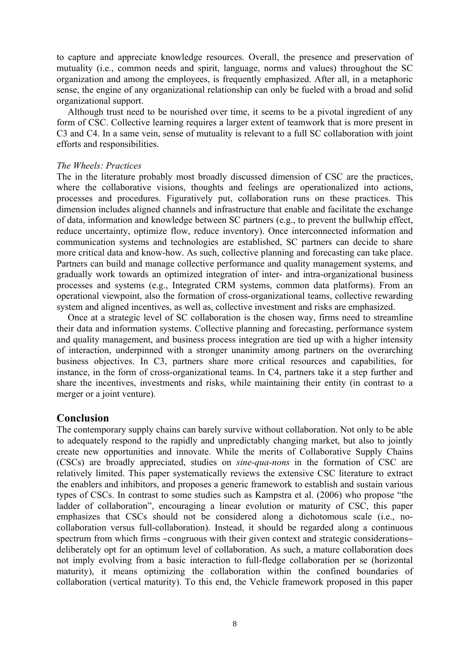to capture and appreciate knowledge resources. Overall, the presence and preservation of mutuality (i.e., common needs and spirit, language, norms and values) throughout the SC organization and among the employees, is frequently emphasized. After all, in a metaphoric sense, the engine of any organizational relationship can only be fueled with a broad and solid organizational support.

Although trust need to be nourished over time, it seems to be a pivotal ingredient of any form of CSC. Collective learning requires a larger extent of teamwork that is more present in C3 and C4. In a same vein, sense of mutuality is relevant to a full SC collaboration with joint efforts and responsibilities.

#### *The Wheels: Practices*

The in the literature probably most broadly discussed dimension of CSC are the practices, where the collaborative visions, thoughts and feelings are operationalized into actions, processes and procedures. Figuratively put, collaboration runs on these practices. This dimension includes aligned channels and infrastructure that enable and facilitate the exchange of data, information and knowledge between SC partners (e.g., to prevent the bullwhip effect, reduce uncertainty, optimize flow, reduce inventory). Once interconnected information and communication systems and technologies are established, SC partners can decide to share more critical data and know-how. As such, collective planning and forecasting can take place. Partners can build and manage collective performance and quality management systems, and gradually work towards an optimized integration of inter- and intra-organizational business processes and systems (e.g., Integrated CRM systems, common data platforms). From an operational viewpoint, also the formation of cross-organizational teams, collective rewarding system and aligned incentives, as well as, collective investment and risks are emphasized.

Once at a strategic level of SC collaboration is the chosen way, firms need to streamline their data and information systems. Collective planning and forecasting, performance system and quality management, and business process integration are tied up with a higher intensity of interaction, underpinned with a stronger unanimity among partners on the overarching business objectives. In C3, partners share more critical resources and capabilities, for instance, in the form of cross-organizational teams. In C4, partners take it a step further and share the incentives, investments and risks, while maintaining their entity (in contrast to a merger or a joint venture).

## **Conclusion**

The contemporary supply chains can barely survive without collaboration. Not only to be able to adequately respond to the rapidly and unpredictably changing market, but also to jointly create new opportunities and innovate. While the merits of Collaborative Supply Chains (CSCs) are broadly appreciated, studies on *sine-qua-nons* in the formation of CSC are relatively limited. This paper systematically reviews the extensive CSC literature to extract the enablers and inhibitors, and proposes a generic framework to establish and sustain various types of CSCs. In contrast to some studies such as Kampstra et al. (2006) who propose "the ladder of collaboration", encouraging a linear evolution or maturity of CSC, this paper emphasizes that CSCs should not be considered along a dichotomous scale (i.e., nocollaboration versus full-collaboration). Instead, it should be regarded along a continuous spectrum from which firms –congruous with their given context and strategic considerations– deliberately opt for an optimum level of collaboration. As such, a mature collaboration does not imply evolving from a basic interaction to full-fledge collaboration per se (horizontal maturity), it means optimizing the collaboration within the confined boundaries of collaboration (vertical maturity). To this end, the Vehicle framework proposed in this paper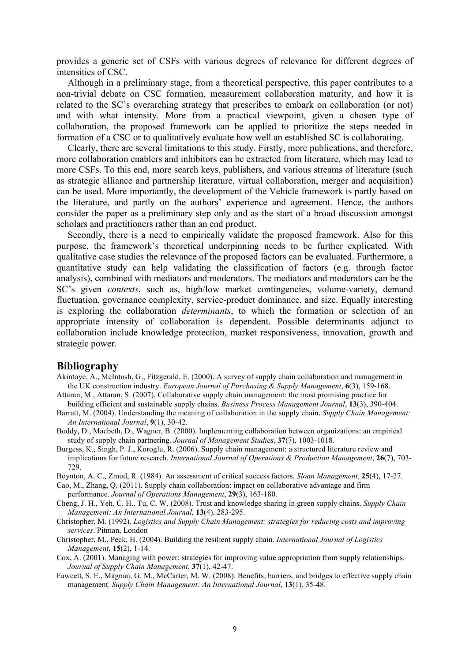provides a generic set of CSFs with various degrees of relevance for different degrees of intensities of CSC.

Although in a preliminary stage, from a theoretical perspective, this paper contributes to a non-trivial debate on CSC formation, measurement collaboration maturity, and how it is related to the SC's overarching strategy that prescribes to embark on collaboration (or not) and with what intensity. More from a practical viewpoint, given a chosen type of collaboration, the proposed framework can be applied to prioritize the steps needed in formation of a CSC or to qualitatively evaluate how well an established SC is collaborating.

Clearly, there are several limitations to this study. Firstly, more publications, and therefore, more collaboration enablers and inhibitors can be extracted from literature, which may lead to more CSFs. To this end, more search keys, publishers, and various streams of literature (such as strategic alliance and partnership literature, virtual collaboration, merger and acquisition) can be used. More importantly, the development of the Vehicle framework is partly based on the literature, and partly on the authors' experience and agreement. Hence, the authors consider the paper as a preliminary step only and as the start of a broad discussion amongst scholars and practitioners rather than an end product.

Secondly, there is a need to empirically validate the proposed framework. Also for this purpose, the framework's theoretical underpinning needs to be further explicated. With qualitative case studies the relevance of the proposed factors can be evaluated. Furthermore, a quantitative study can help validating the classification of factors (e.g. through factor analysis), combined with mediators and moderators. The mediators and moderators can be the SC's given *contexts*, such as, high/low market contingencies, volume-variety, demand fluctuation, governance complexity, service-product dominance, and size. Equally interesting is exploring the collaboration *determinants*, to which the formation or selection of an appropriate intensity of collaboration is dependent. Possible determinants adjunct to collaboration include knowledge protection, market responsiveness, innovation, growth and strategic power.

#### **Bibliography**

- Akintoye, A., McIntosh, G., Fitzgerald, E. (2000). A survey of supply chain collaboration and management in the UK construction industry. *European Journal of Purchasing & Supply Management*, **6**(3), 159-168.
- Attaran, M., Attaran, S. (2007). Collaborative supply chain management: the most promising practice for building efficient and sustainable supply chains. *Business Process Management Journal*, **13**(3), 390-404.
- Barratt, M. (2004). Understanding the meaning of collaboration in the supply chain. *Supply Chain Management: An International Journal*, **9**(1), 30-42.
- Boddy, D., Macbeth, D., Wagner, B. (2000). Implementing collaboration between organizations: an empirical study of supply chain partnering. *Journal of Management Studies*, **37**(7), 1003-1018.
- Burgess, K., Singh, P. J., Koroglu, R. (2006). Supply chain management: a structured literature review and implications for future research. *International Journal of Operations & Production Management*, **26**(7), 703- 729.
- Boynton, A. C., Zmud, R. (1984). An assessment of critical success factors. *Sloan Management*, **25**(4), 17-27.
- Cao, M., Zhang, Q. (2011). Supply chain collaboration: impact on collaborative advantage and firm performance. *Journal of Operations Management*, **29**(3), 163-180.
- Cheng, J. H., Yeh, C. H., Tu, C. W. (2008). Trust and knowledge sharing in green supply chains. *Supply Chain Management: An International Journal,* **13**(4), 283-295.
- Christopher, M. (1992). *Logistics and Supply Chain Management: strategies for reducing costs and improving services*. Pitman, London
- Christopher, M., Peck, H. (2004). Building the resilient supply chain. *International Journal of Logistics Management*, **15**(2), 1-14.
- Cox, A. (2001). Managing with power: strategies for improving value appropriation from supply relationships. *Journal of Supply Chain Management*, **37**(1), 42-47.
- Fawcett, S. E., Magnan, G. M., McCarter, M. W. (2008). Benefits, barriers, and bridges to effective supply chain management. *Supply Chain Management: An International Journal*, **13**(1), 35-48.